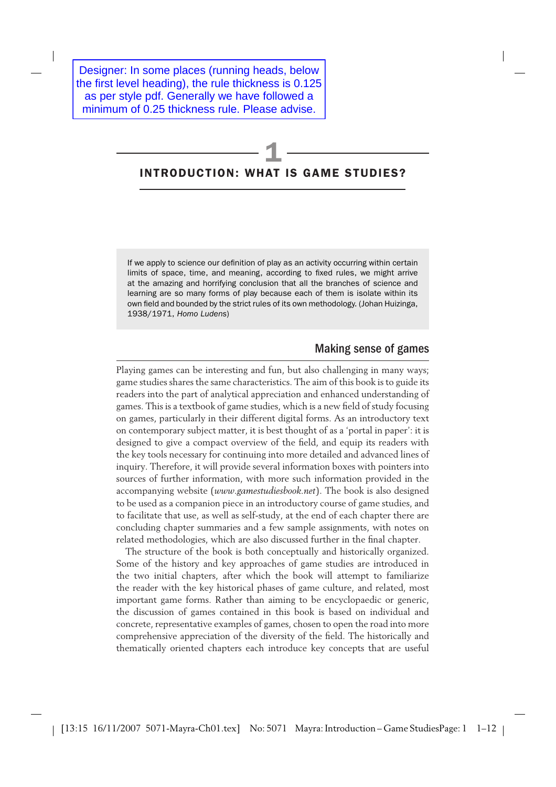Designer: In some places (running heads, below the first level heading), the rule thickness is 0.125 as per style pdf. Generally we have followed a minimum of 0.25 thickness rule. Please advise.

# 1 INTRODUCTION: WHAT IS GAME STUDIES?

If we apply to science our definition of play as an activity occurring within certain limits of space, time, and meaning, according to fixed rules, we might arrive at the amazing and horrifying conclusion that all the branches of science and learning are so many forms of play because each of them is isolate within its own field and bounded by the strict rules of its own methodology. (Johan Huizinga, 1938/1971, *Homo Ludens*)

# Making sense of games

Playing games can be interesting and fun, but also challenging in many ways; game studies shares the same characteristics. The aim of this book is to guide its readers into the part of analytical appreciation and enhanced understanding of games. This is a textbook of game studies, which is a new field of study focusing on games, particularly in their different digital forms. As an introductory text on contemporary subject matter, it is best thought of as a 'portal in paper': it is designed to give a compact overview of the field, and equip its readers with the key tools necessary for continuing into more detailed and advanced lines of inquiry. Therefore, it will provide several information boxes with pointers into sources of further information, with more such information provided in the accompanying website (*www.gamestudiesbook.net*). The book is also designed to be used as a companion piece in an introductory course of game studies, and to facilitate that use, as well as self-study, at the end of each chapter there are concluding chapter summaries and a few sample assignments, with notes on related methodologies, which are also discussed further in the final chapter.

The structure of the book is both conceptually and historically organized. Some of the history and key approaches of game studies are introduced in the two initial chapters, after which the book will attempt to familiarize the reader with the key historical phases of game culture, and related, most important game forms. Rather than aiming to be encyclopaedic or generic, the discussion of games contained in this book is based on individual and concrete, representative examples of games, chosen to open the road into more comprehensive appreciation of the diversity of the field. The historically and thematically oriented chapters each introduce key concepts that are useful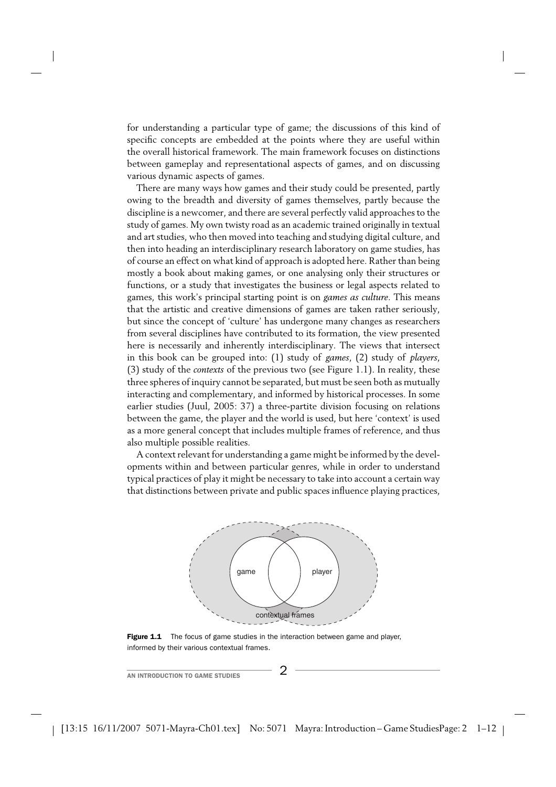for understanding a particular type of game; the discussions of this kind of specific concepts are embedded at the points where they are useful within the overall historical framework. The main framework focuses on distinctions between gameplay and representational aspects of games, and on discussing various dynamic aspects of games.

There are many ways how games and their study could be presented, partly owing to the breadth and diversity of games themselves, partly because the discipline is a newcomer, and there are several perfectly valid approaches to the study of games. My own twisty road as an academic trained originally in textual and art studies, who then moved into teaching and studying digital culture, and then into heading an interdisciplinary research laboratory on game studies, has of course an effect on what kind of approach is adopted here. Rather than being mostly a book about making games, or one analysing only their structures or functions, or a study that investigates the business or legal aspects related to games, this work's principal starting point is on *games as culture*. This means that the artistic and creative dimensions of games are taken rather seriously, but since the concept of 'culture' has undergone many changes as researchers from several disciplines have contributed to its formation, the view presented here is necessarily and inherently interdisciplinary. The views that intersect in this book can be grouped into: (1) study of *games*, (2) study of *players*, (3) study of the *contexts* of the previous two (see Figure 1.1). In reality, these three spheres of inquiry cannot be separated, but must be seen both as mutually interacting and complementary, and informed by historical processes. In some earlier studies (Juul, 2005: 37) a three-partite division focusing on relations between the game, the player and the world is used, but here 'context' is used as a more general concept that includes multiple frames of reference, and thus also multiple possible realities.

A context relevant for understanding a game might be informed by the developments within and between particular genres, while in order to understand typical practices of play it might be necessary to take into account a certain way that distinctions between private and public spaces influence playing practices,



Figure 1.1 The focus of game studies in the interaction between game and player, informed by their various contextual frames.

[13:15 16/11/2007 5071-Mayra-Ch01.tex] No: 5071 Mayra: Introduction – Game StudiesPage: 2 1–12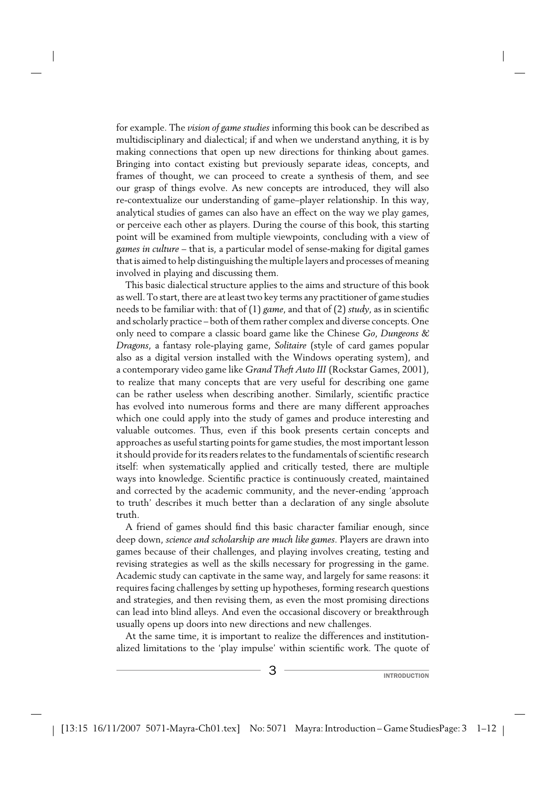for example. The *vision of game studies* informing this book can be described as multidisciplinary and dialectical; if and when we understand anything, it is by making connections that open up new directions for thinking about games. Bringing into contact existing but previously separate ideas, concepts, and frames of thought, we can proceed to create a synthesis of them, and see our grasp of things evolve. As new concepts are introduced, they will also re-contextualize our understanding of game–player relationship. In this way, analytical studies of games can also have an effect on the way we play games, or perceive each other as players. During the course of this book, this starting point will be examined from multiple viewpoints, concluding with a view of *games in culture* – that is, a particular model of sense-making for digital games that is aimed to help distinguishing the multiple layers and processes of meaning involved in playing and discussing them.

This basic dialectical structure applies to the aims and structure of this book as well. To start, there are at least two key terms any practitioner of game studies needs to be familiar with: that of (1) *game*, and that of (2) *study*, as in scientific and scholarly practice – both of them rather complex and diverse concepts. One only need to compare a classic board game like the Chinese *Go*, *Dungeons & Dragons*, a fantasy role-playing game, *Solitaire* (style of card games popular also as a digital version installed with the Windows operating system), and a contemporary video game like *Grand Theft Auto III* (Rockstar Games, 2001), to realize that many concepts that are very useful for describing one game can be rather useless when describing another. Similarly, scientific practice has evolved into numerous forms and there are many different approaches which one could apply into the study of games and produce interesting and valuable outcomes. Thus, even if this book presents certain concepts and approaches as useful starting points for game studies, the most important lesson it should provide for its readers relates to the fundamentals of scientific research itself: when systematically applied and critically tested, there are multiple ways into knowledge. Scientific practice is continuously created, maintained and corrected by the academic community, and the never-ending 'approach to truth' describes it much better than a declaration of any single absolute truth.

A friend of games should find this basic character familiar enough, since deep down, *science and scholarship are much like games*. Players are drawn into games because of their challenges, and playing involves creating, testing and revising strategies as well as the skills necessary for progressing in the game. Academic study can captivate in the same way, and largely for same reasons: it requires facing challenges by setting up hypotheses, forming research questions and strategies, and then revising them, as even the most promising directions can lead into blind alleys. And even the occasional discovery or breakthrough usually opens up doors into new directions and new challenges.

At the same time, it is important to realize the differences and institutionalized limitations to the 'play impulse' within scientific work. The quote of

3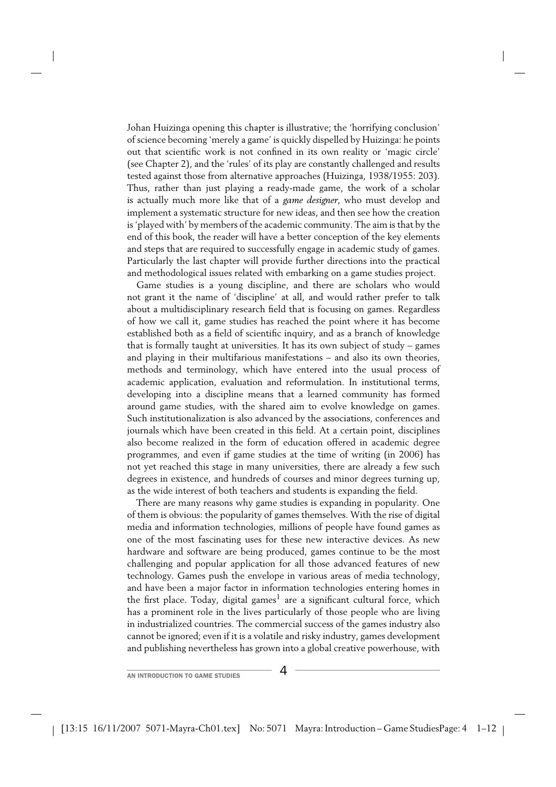Johan Huizinga opening this chapter is illustrative; the 'horrifying conclusion' of science becoming 'merely a game' is quickly dispelled by Huizinga: he points out that scientific work is not confined in its own reality or 'magic circle' (see Chapter 2), and the 'rules' of its play are constantly challenged and results tested against those from alternative approaches (Huizinga, 1938/1955: 203). Thus, rather than just playing a ready-made game, the work of a scholar is actually much more like that of a *game designer*, who must develop and implement a systematic structure for new ideas, and then see how the creation is 'played with' by members of the academic community. The aim is that by the end of this book, the reader will have a better conception of the key elements and steps that are required to successfully engage in academic study of games. Particularly the last chapter will provide further directions into the practical and methodological issues related with embarking on a game studies project.

Game studies is a young discipline, and there are scholars who would not grant it the name of 'discipline' at all, and would rather prefer to talk about a multidisciplinary research field that is focusing on games. Regardless of how we call it, game studies has reached the point where it has become established both as a field of scientific inquiry, and as a branch of knowledge that is formally taught at universities. It has its own subject of study – games and playing in their multifarious manifestations – and also its own theories, methods and terminology, which have entered into the usual process of academic application, evaluation and reformulation. In institutional terms, developing into a discipline means that a learned community has formed around game studies, with the shared aim to evolve knowledge on games. Such institutionalization is also advanced by the associations, conferences and journals which have been created in this field. At a certain point, disciplines also become realized in the form of education offered in academic degree programmes, and even if game studies at the time of writing (in 2006) has not yet reached this stage in many universities, there are already a few such degrees in existence, and hundreds of courses and minor degrees turning up, as the wide interest of both teachers and students is expanding the field.

There are many reasons why game studies is expanding in popularity. One of them is obvious: the popularity of games themselves. With the rise of digital media and information technologies, millions of people have found games as one of the most fascinating uses for these new interactive devices. As new hardware and software are being produced, games continue to be the most challenging and popular application for all those advanced features of new technology. Games push the envelope in various areas of media technology, and have been a major factor in information technologies entering homes in the first place. Today, digital games<sup>1</sup> are a significant cultural force, which has a prominent role in the lives particularly of those people who are living in industrialized countries. The commercial success of the games industry also cannot be ignored; even if it is a volatile and risky industry, games development and publishing nevertheless has grown into a global creative powerhouse, with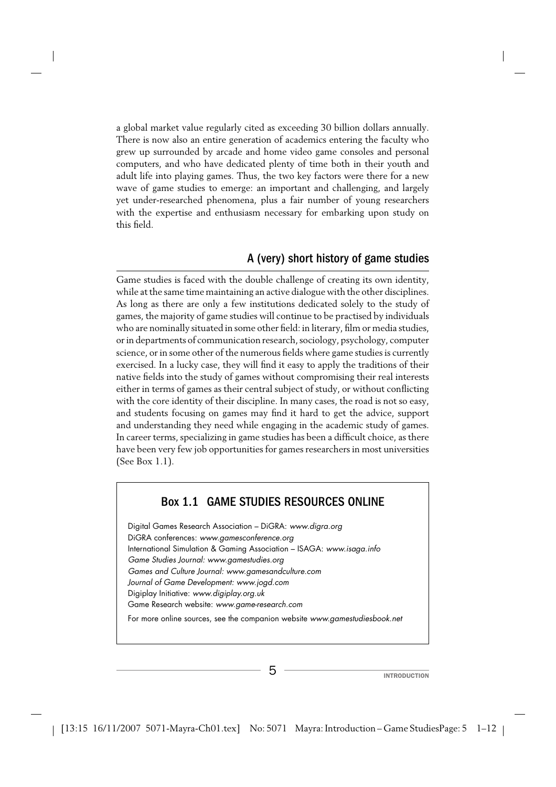a global market value regularly cited as exceeding 30 billion dollars annually. There is now also an entire generation of academics entering the faculty who grew up surrounded by arcade and home video game consoles and personal computers, and who have dedicated plenty of time both in their youth and adult life into playing games. Thus, the two key factors were there for a new wave of game studies to emerge: an important and challenging, and largely yet under-researched phenomena, plus a fair number of young researchers with the expertise and enthusiasm necessary for embarking upon study on this field.

# A (very) short history of game studies

Game studies is faced with the double challenge of creating its own identity, while at the same time maintaining an active dialogue with the other disciplines. As long as there are only a few institutions dedicated solely to the study of games, the majority of game studies will continue to be practised by individuals who are nominally situated in some other field: in literary, film or media studies, or in departments of communication research, sociology, psychology, computer science, or in some other of the numerous fields where game studies is currently exercised. In a lucky case, they will find it easy to apply the traditions of their native fields into the study of games without compromising their real interests either in terms of games as their central subject of study, or without conflicting with the core identity of their discipline. In many cases, the road is not so easy, and students focusing on games may find it hard to get the advice, support and understanding they need while engaging in the academic study of games. In career terms, specializing in game studies has been a difficult choice, as there have been very few job opportunities for games researchers in most universities (See Box 1.1).

# Box 1.1 GAME STUDIES RESOURCES ONLINE

Digital Games Research Association – DiGRA: www.digra.org DiGRA conferences: www.gamesconference.org International Simulation & Gaming Association – ISAGA: www.isaga.info Game Studies Journal: www.gamestudies.org Games and Culture Journal: www.gamesandculture.com Journal of Game Development: www.jogd.com Digiplay Initiative: www.digiplay.org.uk Game Research website: www.game-research.com

For more online sources, see the companion website www.gamestudiesbook.net

5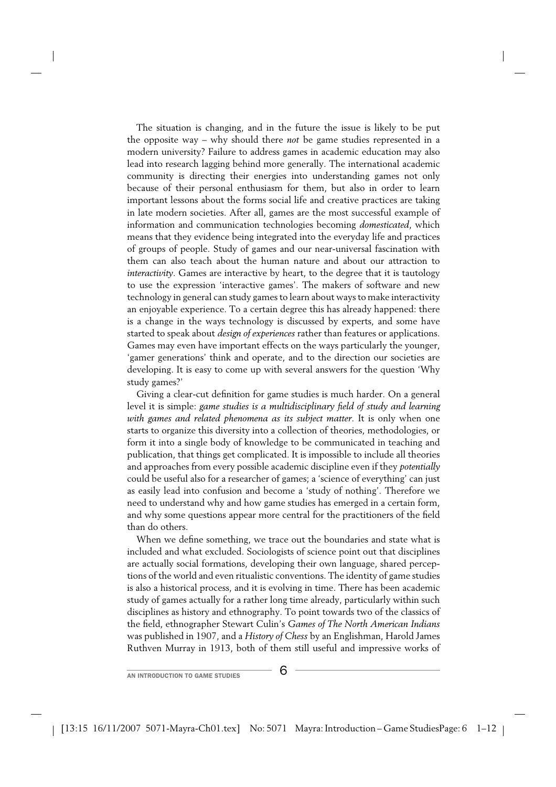The situation is changing, and in the future the issue is likely to be put the opposite way – why should there *not* be game studies represented in a modern university? Failure to address games in academic education may also lead into research lagging behind more generally. The international academic community is directing their energies into understanding games not only because of their personal enthusiasm for them, but also in order to learn important lessons about the forms social life and creative practices are taking in late modern societies. After all, games are the most successful example of information and communication technologies becoming *domesticated*, which means that they evidence being integrated into the everyday life and practices of groups of people. Study of games and our near-universal fascination with them can also teach about the human nature and about our attraction to *interactivity*. Games are interactive by heart, to the degree that it is tautology to use the expression 'interactive games'. The makers of software and new technology in general can study games to learn about ways to make interactivity an enjoyable experience. To a certain degree this has already happened: there is a change in the ways technology is discussed by experts, and some have started to speak about *design of experiences* rather than features or applications. Games may even have important effects on the ways particularly the younger, 'gamer generations' think and operate, and to the direction our societies are developing. It is easy to come up with several answers for the question 'Why study games?'

Giving a clear-cut definition for game studies is much harder. On a general level it is simple: *game studies is a multidisciplinary field of study and learning with games and related phenomena as its subject matter*. It is only when one starts to organize this diversity into a collection of theories, methodologies, or form it into a single body of knowledge to be communicated in teaching and publication, that things get complicated. It is impossible to include all theories and approaches from every possible academic discipline even if they *potentially* could be useful also for a researcher of games; a 'science of everything' can just as easily lead into confusion and become a 'study of nothing'. Therefore we need to understand why and how game studies has emerged in a certain form, and why some questions appear more central for the practitioners of the field than do others.

When we define something, we trace out the boundaries and state what is included and what excluded. Sociologists of science point out that disciplines are actually social formations, developing their own language, shared perceptions of the world and even ritualistic conventions. The identity of game studies is also a historical process, and it is evolving in time. There has been academic study of games actually for a rather long time already, particularly within such disciplines as history and ethnography. To point towards two of the classics of the field, ethnographer Stewart Culin's *Games of The North American Indians* was published in 1907, and a *History of Chess* by an Englishman, Harold James Ruthven Murray in 1913, both of them still useful and impressive works of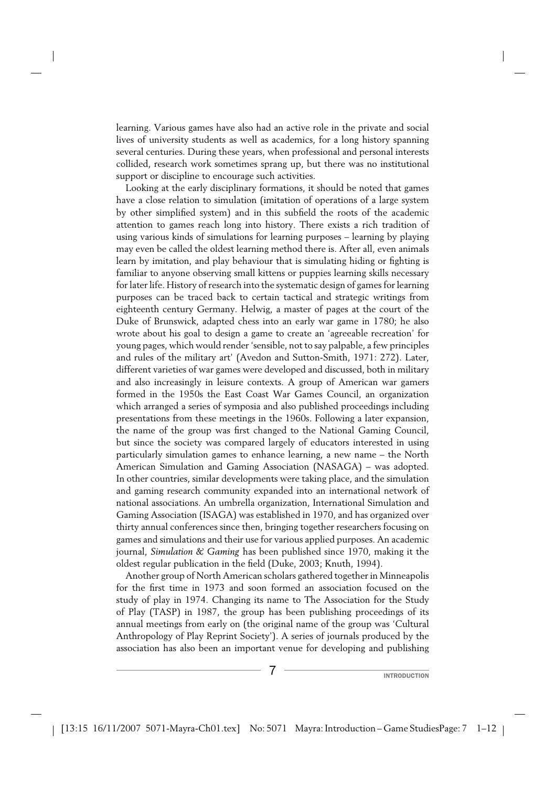learning. Various games have also had an active role in the private and social lives of university students as well as academics, for a long history spanning several centuries. During these years, when professional and personal interests collided, research work sometimes sprang up, but there was no institutional support or discipline to encourage such activities.

Looking at the early disciplinary formations, it should be noted that games have a close relation to simulation (imitation of operations of a large system by other simplified system) and in this subfield the roots of the academic attention to games reach long into history. There exists a rich tradition of using various kinds of simulations for learning purposes – learning by playing may even be called the oldest learning method there is. After all, even animals learn by imitation, and play behaviour that is simulating hiding or fighting is familiar to anyone observing small kittens or puppies learning skills necessary for later life. History of research into the systematic design of games for learning purposes can be traced back to certain tactical and strategic writings from eighteenth century Germany. Helwig, a master of pages at the court of the Duke of Brunswick, adapted chess into an early war game in 1780; he also wrote about his goal to design a game to create an 'agreeable recreation' for young pages, which would render 'sensible, not to say palpable, a few principles and rules of the military art' (Avedon and Sutton-Smith, 1971: 272). Later, different varieties of war games were developed and discussed, both in military and also increasingly in leisure contexts. A group of American war gamers formed in the 1950s the East Coast War Games Council, an organization which arranged a series of symposia and also published proceedings including presentations from these meetings in the 1960s. Following a later expansion, the name of the group was first changed to the National Gaming Council, but since the society was compared largely of educators interested in using particularly simulation games to enhance learning, a new name – the North American Simulation and Gaming Association (NASAGA) – was adopted. In other countries, similar developments were taking place, and the simulation and gaming research community expanded into an international network of national associations. An umbrella organization, International Simulation and Gaming Association (ISAGA) was established in 1970, and has organized over thirty annual conferences since then, bringing together researchers focusing on games and simulations and their use for various applied purposes. An academic journal, *Simulation & Gaming* has been published since 1970, making it the oldest regular publication in the field (Duke, 2003; Knuth, 1994).

Another group of North American scholars gathered together in Minneapolis for the first time in 1973 and soon formed an association focused on the study of play in 1974. Changing its name to The Association for the Study of Play (TASP) in 1987, the group has been publishing proceedings of its annual meetings from early on (the original name of the group was 'Cultural Anthropology of Play Reprint Society'). A series of journals produced by the association has also been an important venue for developing and publishing

7 INTRODUCTION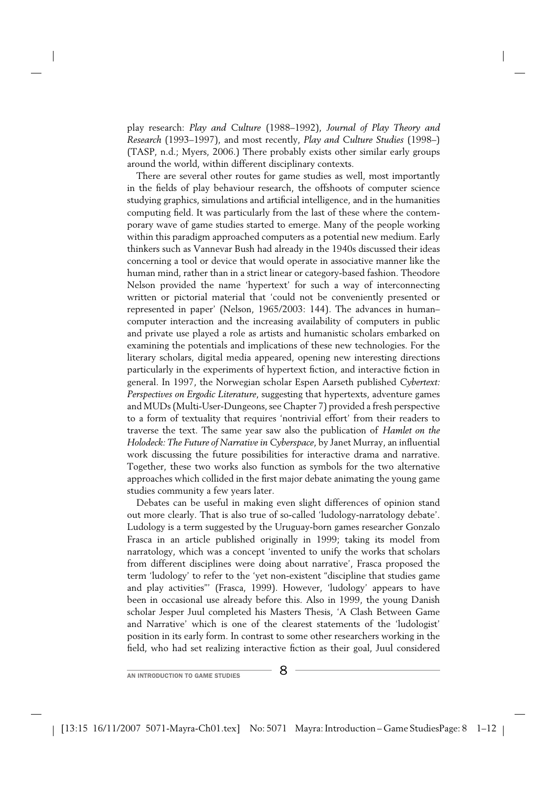play research: *Play and Culture* (1988–1992), *Journal of Play Theory and Research* (1993–1997), and most recently, *Play and Culture Studies* (1998–) (TASP, n.d.; Myers, 2006.) There probably exists other similar early groups around the world, within different disciplinary contexts.

There are several other routes for game studies as well, most importantly in the fields of play behaviour research, the offshoots of computer science studying graphics, simulations and artificial intelligence, and in the humanities computing field. It was particularly from the last of these where the contemporary wave of game studies started to emerge. Many of the people working within this paradigm approached computers as a potential new medium. Early thinkers such as Vannevar Bush had already in the 1940s discussed their ideas concerning a tool or device that would operate in associative manner like the human mind, rather than in a strict linear or category-based fashion. Theodore Nelson provided the name 'hypertext' for such a way of interconnecting written or pictorial material that 'could not be conveniently presented or represented in paper' (Nelson, 1965/2003: 144). The advances in human– computer interaction and the increasing availability of computers in public and private use played a role as artists and humanistic scholars embarked on examining the potentials and implications of these new technologies. For the literary scholars, digital media appeared, opening new interesting directions particularly in the experiments of hypertext fiction, and interactive fiction in general. In 1997, the Norwegian scholar Espen Aarseth published *Cybertext: Perspectives on Ergodic Literature*, suggesting that hypertexts, adventure games and MUDs (Multi-User-Dungeons, see Chapter 7) provided a fresh perspective to a form of textuality that requires 'nontrivial effort' from their readers to traverse the text. The same year saw also the publication of *Hamlet on the Holodeck: The Future of Narrative in Cyberspace*, by Janet Murray, an influential work discussing the future possibilities for interactive drama and narrative. Together, these two works also function as symbols for the two alternative approaches which collided in the first major debate animating the young game studies community a few years later.

Debates can be useful in making even slight differences of opinion stand out more clearly. That is also true of so-called 'ludology-narratology debate'. Ludology is a term suggested by the Uruguay-born games researcher Gonzalo Frasca in an article published originally in 1999; taking its model from narratology, which was a concept 'invented to unify the works that scholars from different disciplines were doing about narrative', Frasca proposed the term 'ludology' to refer to the 'yet non-existent "discipline that studies game and play activities"' (Frasca, 1999). However, 'ludology' appears to have been in occasional use already before this. Also in 1999, the young Danish scholar Jesper Juul completed his Masters Thesis, 'A Clash Between Game and Narrative' which is one of the clearest statements of the 'ludologist' position in its early form. In contrast to some other researchers working in the field, who had set realizing interactive fiction as their goal, Juul considered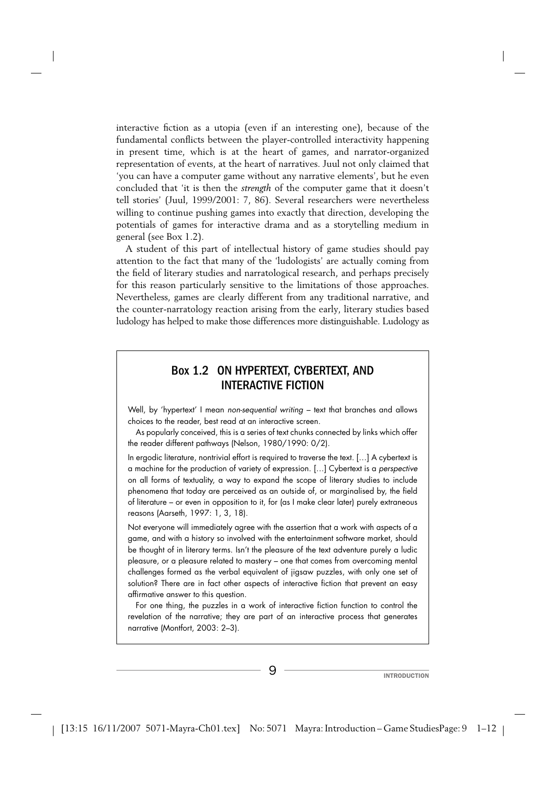interactive fiction as a utopia (even if an interesting one), because of the fundamental conflicts between the player-controlled interactivity happening in present time, which is at the heart of games, and narrator-organized representation of events, at the heart of narratives. Juul not only claimed that 'you can have a computer game without any narrative elements', but he even concluded that 'it is then the *strength* of the computer game that it doesn't tell stories' (Juul, 1999/2001: 7, 86). Several researchers were nevertheless willing to continue pushing games into exactly that direction, developing the potentials of games for interactive drama and as a storytelling medium in general (see Box 1.2).

A student of this part of intellectual history of game studies should pay attention to the fact that many of the 'ludologists' are actually coming from the field of literary studies and narratological research, and perhaps precisely for this reason particularly sensitive to the limitations of those approaches. Nevertheless, games are clearly different from any traditional narrative, and the counter-narratology reaction arising from the early, literary studies based ludology has helped to make those differences more distinguishable. Ludology as

# Box 1.2 ON HYPERTEXT, CYBERTEXT, AND INTERACTIVE FICTION

Well, by 'hypertext' I mean non-sequential writing – text that branches and allows choices to the reader, best read at an interactive screen.

As popularly conceived, this is a series of text chunks connected by links which offer the reader different pathways (Nelson, 1980/1990: 0/2).

In ergodic literature, nontrivial effort is required to traverse the text. […] A cybertext is a machine for the production of variety of expression. […] Cybertext is a perspective on all forms of textuality, a way to expand the scope of literary studies to include phenomena that today are perceived as an outside of, or marginalised by, the field of literature – or even in opposition to it, for (as I make clear later) purely extraneous reasons (Aarseth, 1997: 1, 3, 18).

Not everyone will immediately agree with the assertion that a work with aspects of a game, and with a history so involved with the entertainment software market, should be thought of in literary terms. Isn't the pleasure of the text adventure purely a ludic pleasure, or a pleasure related to mastery – one that comes from overcoming mental challenges formed as the verbal equivalent of jigsaw puzzles, with only one set of solution? There are in fact other aspects of interactive fiction that prevent an easy affirmative answer to this question.

For one thing, the puzzles in a work of interactive fiction function to control the revelation of the narrative; they are part of an interactive process that generates narrative (Montfort, 2003: 2–3).

**9** INTRODUCTION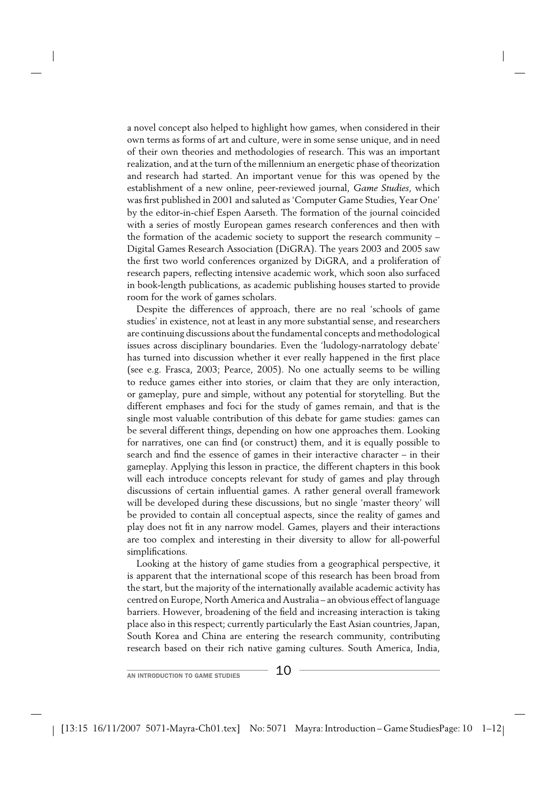a novel concept also helped to highlight how games, when considered in their own terms as forms of art and culture, were in some sense unique, and in need of their own theories and methodologies of research. This was an important realization, and at the turn of the millennium an energetic phase of theorization and research had started. An important venue for this was opened by the establishment of a new online, peer-reviewed journal, *Game Studies*, which was first published in 2001 and saluted as 'Computer Game Studies, Year One' by the editor-in-chief Espen Aarseth. The formation of the journal coincided with a series of mostly European games research conferences and then with the formation of the academic society to support the research community – Digital Games Research Association (DiGRA). The years 2003 and 2005 saw the first two world conferences organized by DiGRA, and a proliferation of research papers, reflecting intensive academic work, which soon also surfaced in book-length publications, as academic publishing houses started to provide room for the work of games scholars.

Despite the differences of approach, there are no real 'schools of game studies' in existence, not at least in any more substantial sense, and researchers are continuing discussions about the fundamental concepts and methodological issues across disciplinary boundaries. Even the 'ludology-narratology debate' has turned into discussion whether it ever really happened in the first place (see e.g. Frasca, 2003; Pearce, 2005). No one actually seems to be willing to reduce games either into stories, or claim that they are only interaction, or gameplay, pure and simple, without any potential for storytelling. But the different emphases and foci for the study of games remain, and that is the single most valuable contribution of this debate for game studies: games can be several different things, depending on how one approaches them. Looking for narratives, one can find (or construct) them, and it is equally possible to search and find the essence of games in their interactive character – in their gameplay. Applying this lesson in practice, the different chapters in this book will each introduce concepts relevant for study of games and play through discussions of certain influential games. A rather general overall framework will be developed during these discussions, but no single 'master theory' will be provided to contain all conceptual aspects, since the reality of games and play does not fit in any narrow model. Games, players and their interactions are too complex and interesting in their diversity to allow for all-powerful simplifications.

Looking at the history of game studies from a geographical perspective, it is apparent that the international scope of this research has been broad from the start, but the majority of the internationally available academic activity has centred on Europe, North America and Australia – an obvious effect of language barriers. However, broadening of the field and increasing interaction is taking place also in this respect; currently particularly the East Asian countries, Japan, South Korea and China are entering the research community, contributing research based on their rich native gaming cultures. South America, India,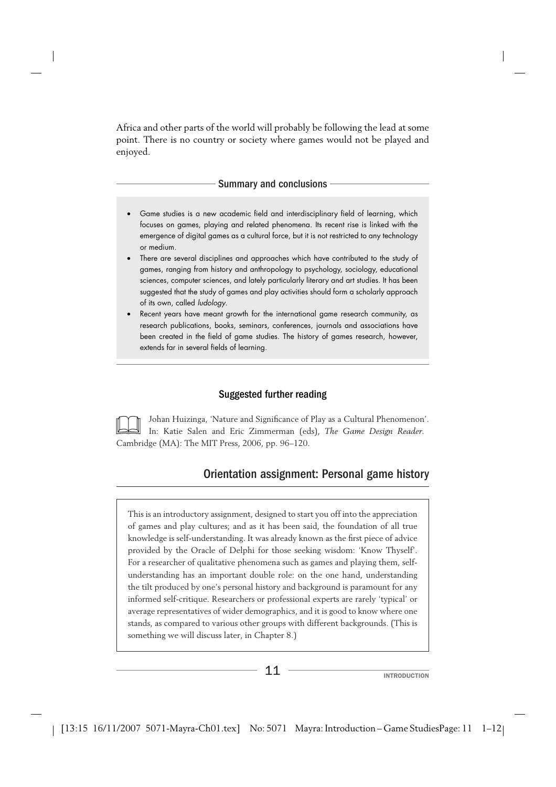Africa and other parts of the world will probably be following the lead at some point. There is no country or society where games would not be played and enjoyed.

#### Summary and conclusions

- Game studies is a new academic field and interdisciplinary field of learning, which focuses on games, playing and related phenomena. Its recent rise is linked with the emergence of digital games as a cultural force, but it is not restricted to any technology or medium.
- There are several disciplines and approaches which have contributed to the study of games, ranging from history and anthropology to psychology, sociology, educational sciences, computer sciences, and lately particularly literary and art studies. It has been suggested that the study of games and play activities should form a scholarly approach of its own, called ludology.
- Recent years have meant growth for the international game research community, as research publications, books, seminars, conferences, journals and associations have been created in the field of game studies. The history of games research, however, extends far in several fields of learning.

### Suggested further reading

Johan Huizinga, 'Nature and Significance of Play as a Cultural Phenomenon'. In: Katie Salen and Eric Zimmerman (eds), *The Game Design Reader*. Cambridge (MA): The MIT Press, 2006, pp. 96–120.

## Orientation assignment: Personal game history

This is an introductory assignment, designed to start you off into the appreciation of games and play cultures; and as it has been said, the foundation of all true knowledge is self-understanding. It was already known as the first piece of advice provided by the Oracle of Delphi for those seeking wisdom: 'Know Thyself'. For a researcher of qualitative phenomena such as games and playing them, selfunderstanding has an important double role: on the one hand, understanding the tilt produced by one's personal history and background is paramount for any informed self-critique. Researchers or professional experts are rarely 'typical' or average representatives of wider demographics, and it is good to know where one stands, as compared to various other groups with different backgrounds. (This is something we will discuss later, in Chapter 8.)

11 **INTRODUCTION**